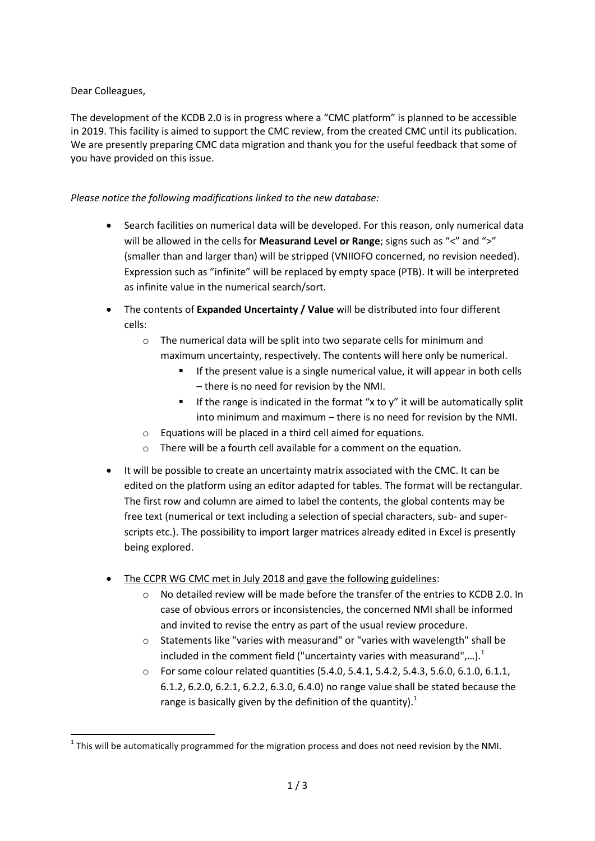## Dear Colleagues,

1

The development of the KCDB 2.0 is in progress where a "CMC platform" is planned to be accessible in 2019. This facility is aimed to support the CMC review, from the created CMC until its publication. We are presently preparing CMC data migration and thank you for the useful feedback that some of you have provided on this issue.

## *Please notice the following modifications linked to the new database:*

- Search facilities on numerical data will be developed. For this reason, only numerical data will be allowed in the cells for **Measurand Level or Range**; signs such as "<" and ">" (smaller than and larger than) will be stripped (VNIIOFO concerned, no revision needed). Expression such as "infinite" will be replaced by empty space (PTB). It will be interpreted as infinite value in the numerical search/sort.
- The contents of **Expanded Uncertainty / Value** will be distributed into four different cells:
	- o The numerical data will be split into two separate cells for minimum and maximum uncertainty, respectively. The contents will here only be numerical.
		- If the present value is a single numerical value, it will appear in both cells – there is no need for revision by the NMI.
		- If the range is indicated in the format "x to y" it will be automatically split into minimum and maximum – there is no need for revision by the NMI.
	- o Equations will be placed in a third cell aimed for equations.
	- o There will be a fourth cell available for a comment on the equation.
- It will be possible to create an uncertainty matrix associated with the CMC. It can be edited on the platform using an editor adapted for tables. The format will be rectangular. The first row and column are aimed to label the contents, the global contents may be free text (numerical or text including a selection of special characters, sub- and superscripts etc.). The possibility to import larger matrices already edited in Excel is presently being explored.
- The CCPR WG CMC met in July 2018 and gave the following guidelines:
	- $\circ$  No detailed review will be made before the transfer of the entries to KCDB 2.0. In case of obvious errors or inconsistencies, the concerned NMI shall be informed and invited to revise the entry as part of the usual review procedure.
	- $\circ$  Statements like "varies with measurand" or "varies with wavelength" shall be included in the comment field ("uncertainty varies with measurand",...).<sup>1</sup>
	- o For some colour related quantities (5.4.0, 5.4.1, 5.4.2, 5.4.3, 5.6.0, 6.1.0, 6.1.1, 6.1.2, 6.2.0, 6.2.1, 6.2.2, 6.3.0, 6.4.0) no range value shall be stated because the range is basically given by the definition of the quantity). $<sup>1</sup>$ </sup>

 $<sup>1</sup>$  This will be automatically programmed for the migration process and does not need revision by the NMI.</sup>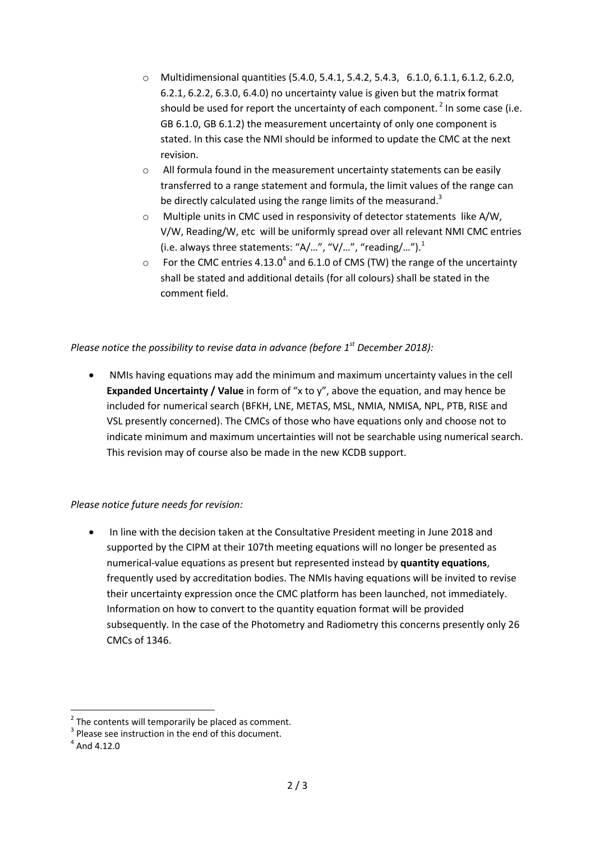- o Multidimensional quantities (5.4.0, 5.4.1, 5.4.2, 5.4.3, 6.1.0, 6.1.1, 6.1.2, 6.2.0, 6.2.1, 6.2.2, 6.3.0, 6.4.0) no uncertainty value is given but the matrix format should be used for report the uncertainty of each component.<sup>2</sup> In some case (i.e. GB 6.1.0, GB 6.1.2) the measurement uncertainty of only one component is stated. In this case the NMI should be informed to update the CMC at the next revision.
- $\circ$  All formula found in the measurement uncertainty statements can be easily transferred to a range statement and formula, the limit values of the range can be directly calculated using the range limits of the measurand.<sup>3</sup>
- o Multiple units in CMC used in responsivity of detector statements like A/W, V/W, Reading/W, etc will be uniformly spread over all relevant NMI CMC entries (i.e. always three statements: "A/...", "V/...", "reading/...").<sup>1</sup>
- $\circ$  For the CMC entries 4.13.0<sup>4</sup> and 6.1.0 of CMS (TW) the range of the uncertainty shall be stated and additional details (for all colours) shall be stated in the comment field.

## *Please notice the possibility to revise data in advance (before 1st December 2018):*

 NMIs having equations may add the minimum and maximum uncertainty values in the cell **Expanded Uncertainty / Value** in form of "x to y", above the equation, and may hence be included for numerical search (BFKH, LNE, METAS, MSL, NMIA, NMISA, NPL, PTB, RISE and VSL presently concerned). The CMCs of those who have equations only and choose not to indicate minimum and maximum uncertainties will not be searchable using numerical search. This revision may of course also be made in the new KCDB support.

## *Please notice future needs for revision:*

 In line with the decision taken at the Consultative President meeting in June 2018 and supported by the CIPM at their 107th meeting equations will no longer be presented as numerical-value equations as present but represented instead by **quantity equations**, frequently used by accreditation bodies. The NMIs having equations will be invited to revise their uncertainty expression once the CMC platform has been launched, not immediately. Information on how to convert to the quantity equation format will be provided subsequently. In the case of the Photometry and Radiometry this concerns presently only 26 CMCs of 1346.

**.** 

 $2$  The contents will temporarily be placed as comment.

 $3$  Please see instruction in the end of this document.

 $<sup>4</sup>$  And 4.12.0</sup>